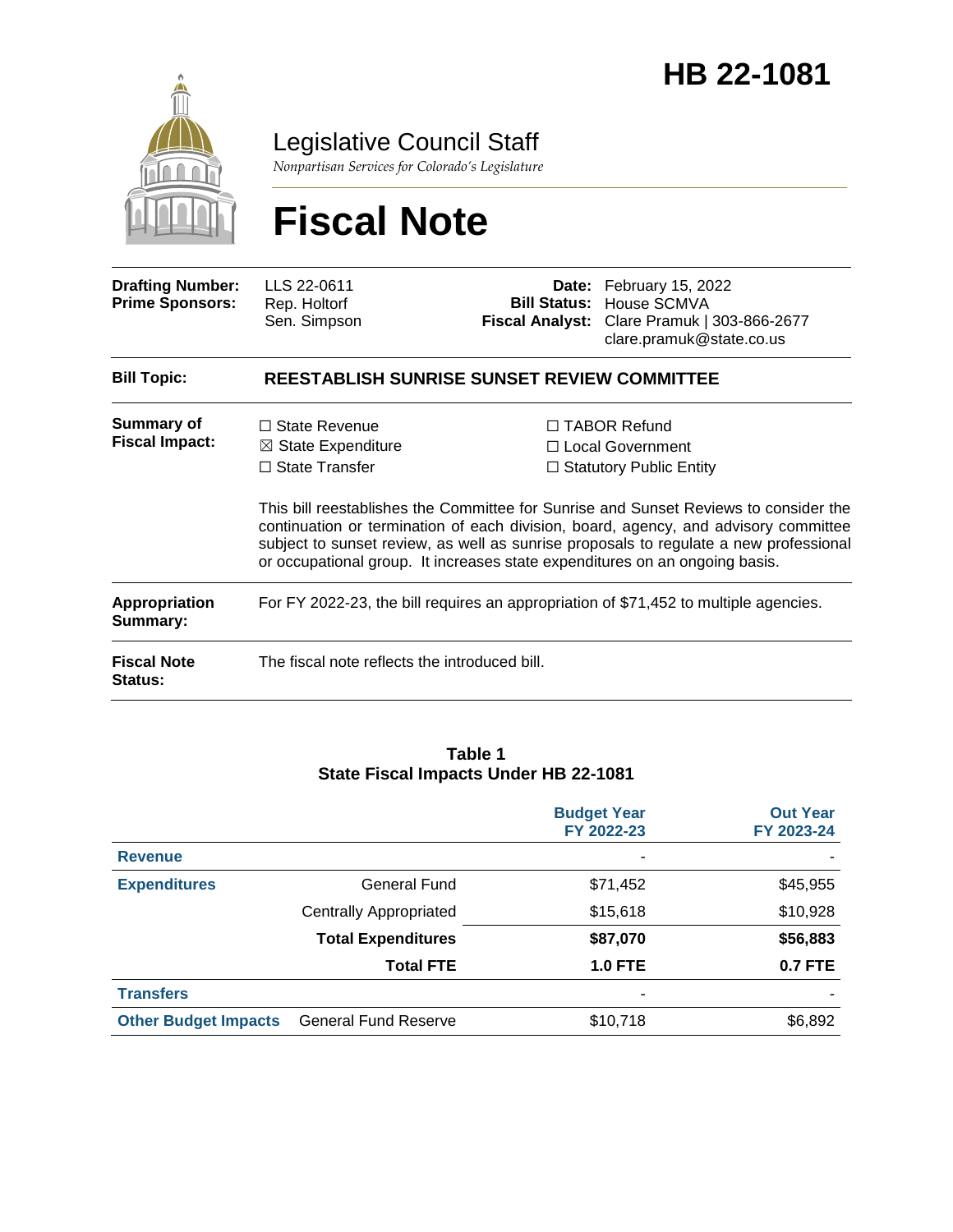

### Legislative Council Staff

*Nonpartisan Services for Colorado's Legislature*

# **Fiscal Note**

| <b>Drafting Number:</b><br><b>Prime Sponsors:</b> | LLS 22-0611<br>Rep. Holtorf<br>Sen. Simpson                                                                                                                                                                                                                                                                                                         |  | <b>Date:</b> February 15, 2022<br><b>Bill Status: House SCMVA</b><br>Fiscal Analyst: Clare Pramuk   303-866-2677<br>clare.pramuk@state.co.us |  |  |
|---------------------------------------------------|-----------------------------------------------------------------------------------------------------------------------------------------------------------------------------------------------------------------------------------------------------------------------------------------------------------------------------------------------------|--|----------------------------------------------------------------------------------------------------------------------------------------------|--|--|
| <b>Bill Topic:</b>                                | <b>REESTABLISH SUNRISE SUNSET REVIEW COMMITTEE</b>                                                                                                                                                                                                                                                                                                  |  |                                                                                                                                              |  |  |
| Summary of<br><b>Fiscal Impact:</b>               | $\Box$ State Revenue<br>$\boxtimes$ State Expenditure                                                                                                                                                                                                                                                                                               |  | $\Box$ TABOR Refund<br>□ Local Government                                                                                                    |  |  |
|                                                   | $\Box$ State Transfer                                                                                                                                                                                                                                                                                                                               |  | $\Box$ Statutory Public Entity                                                                                                               |  |  |
|                                                   | This bill reestablishes the Committee for Sunrise and Sunset Reviews to consider the<br>continuation or termination of each division, board, agency, and advisory committee<br>subject to sunset review, as well as sunrise proposals to regulate a new professional<br>or occupational group. It increases state expenditures on an ongoing basis. |  |                                                                                                                                              |  |  |
| <b>Appropriation</b><br>Summary:                  | For FY 2022-23, the bill requires an appropriation of \$71,452 to multiple agencies.                                                                                                                                                                                                                                                                |  |                                                                                                                                              |  |  |
| <b>Fiscal Note</b><br>Status:                     | The fiscal note reflects the introduced bill.                                                                                                                                                                                                                                                                                                       |  |                                                                                                                                              |  |  |

#### **Table 1 State Fiscal Impacts Under HB 22-1081**

|                             |                             | <b>Budget Year</b><br>FY 2022-23 | <b>Out Year</b><br>FY 2023-24 |
|-----------------------------|-----------------------------|----------------------------------|-------------------------------|
| <b>Revenue</b>              |                             | ٠                                |                               |
| <b>Expenditures</b>         | General Fund                | \$71,452                         | \$45,955                      |
|                             | Centrally Appropriated      | \$15,618                         | \$10,928                      |
|                             | <b>Total Expenditures</b>   | \$87,070                         | \$56,883                      |
|                             | <b>Total FTE</b>            | <b>1.0 FTE</b>                   | <b>0.7 FTE</b>                |
| <b>Transfers</b>            |                             | ٠                                |                               |
| <b>Other Budget Impacts</b> | <b>General Fund Reserve</b> | \$10,718                         | \$6,892                       |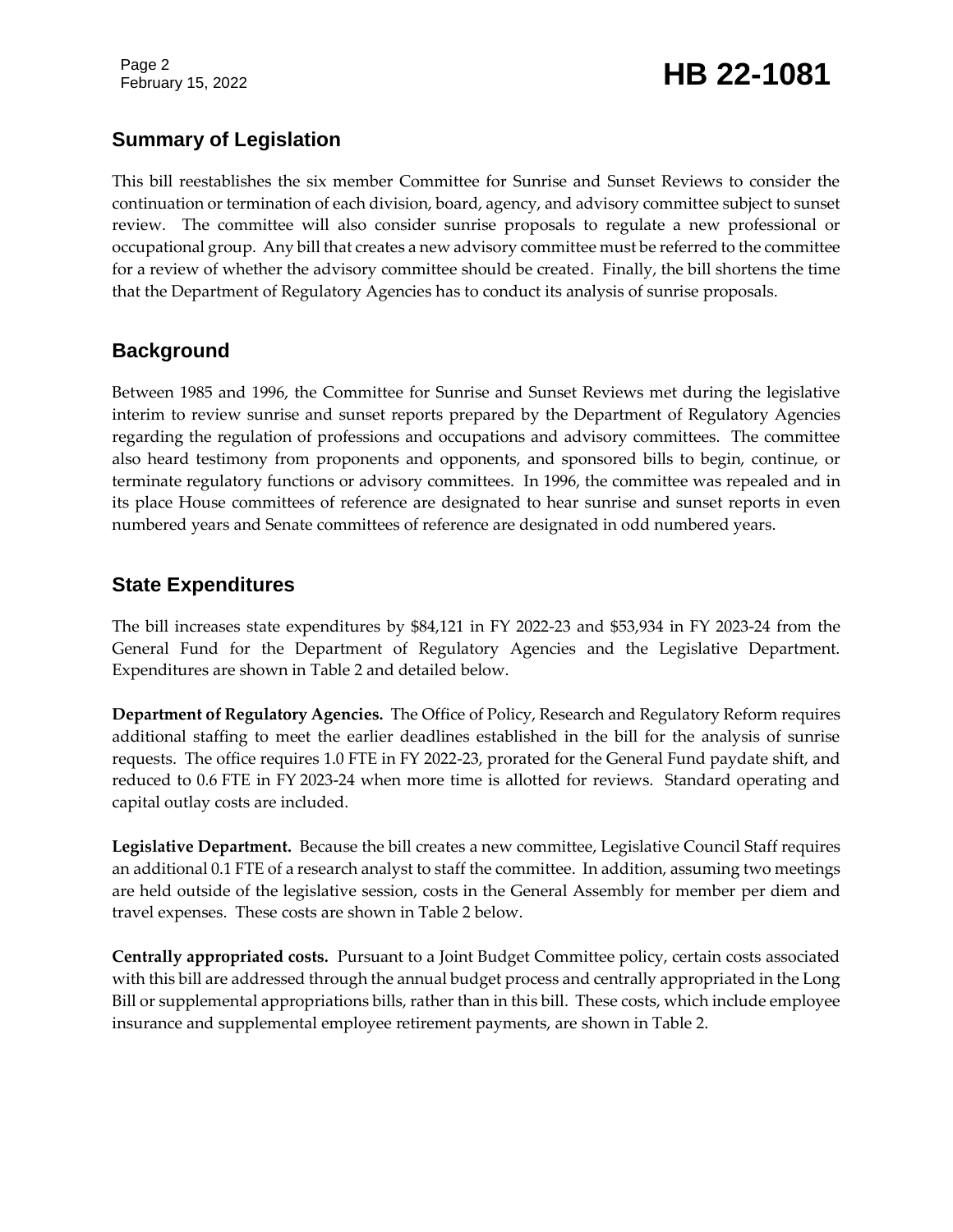Page 2

### February 15, 2022 **HB 22-1081**

### **Summary of Legislation**

This bill reestablishes the six member Committee for Sunrise and Sunset Reviews to consider the continuation or termination of each division, board, agency, and advisory committee subject to sunset review. The committee will also consider sunrise proposals to regulate a new professional or occupational group. Any bill that creates a new advisory committee must be referred to the committee for a review of whether the advisory committee should be created. Finally, the bill shortens the time that the Department of Regulatory Agencies has to conduct its analysis of sunrise proposals.

### **Background**

Between 1985 and 1996, the Committee for Sunrise and Sunset Reviews met during the legislative interim to review sunrise and sunset reports prepared by the Department of Regulatory Agencies regarding the regulation of professions and occupations and advisory committees. The committee also heard testimony from proponents and opponents, and sponsored bills to begin, continue, or terminate regulatory functions or advisory committees. In 1996, the committee was repealed and in its place House committees of reference are designated to hear sunrise and sunset reports in even numbered years and Senate committees of reference are designated in odd numbered years.

### **State Expenditures**

The bill increases state expenditures by \$84,121 in FY 2022-23 and \$53,934 in FY 2023-24 from the General Fund for the Department of Regulatory Agencies and the Legislative Department. Expenditures are shown in Table 2 and detailed below.

**Department of Regulatory Agencies.** The Office of Policy, Research and Regulatory Reform requires additional staffing to meet the earlier deadlines established in the bill for the analysis of sunrise requests. The office requires 1.0 FTE in FY 2022-23, prorated for the General Fund paydate shift, and reduced to 0.6 FTE in FY 2023-24 when more time is allotted for reviews. Standard operating and capital outlay costs are included.

**Legislative Department.** Because the bill creates a new committee, Legislative Council Staff requires an additional 0.1 FTE of a research analyst to staff the committee. In addition, assuming two meetings are held outside of the legislative session, costs in the General Assembly for member per diem and travel expenses. These costs are shown in Table 2 below.

**Centrally appropriated costs.** Pursuant to a Joint Budget Committee policy, certain costs associated with this bill are addressed through the annual budget process and centrally appropriated in the Long Bill or supplemental appropriations bills, rather than in this bill. These costs, which include employee insurance and supplemental employee retirement payments, are shown in Table 2.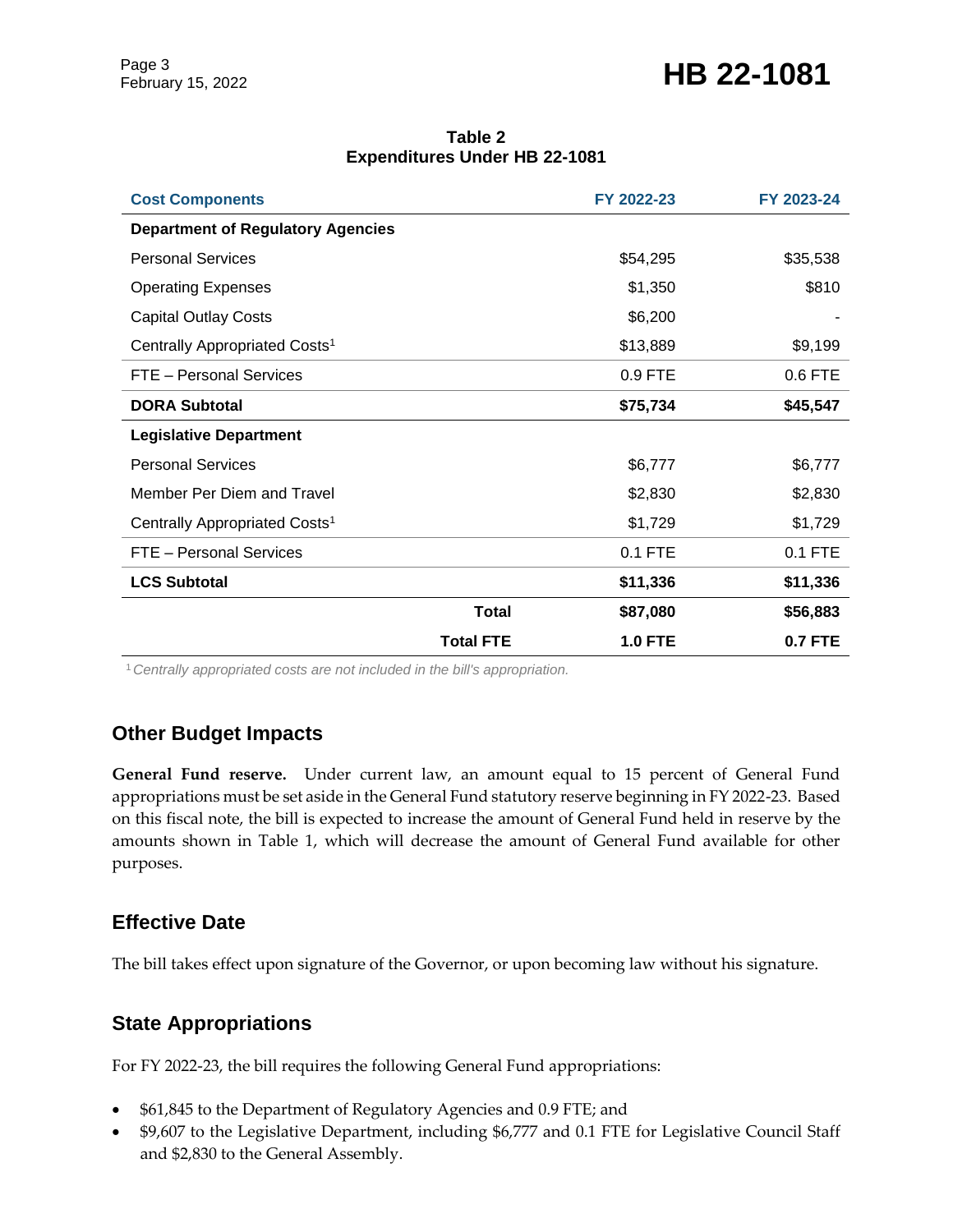### February 15, 2022 **HB 22-1081**

| <b>Cost Components</b>                    | FY 2022-23     | FY 2023-24     |
|-------------------------------------------|----------------|----------------|
| <b>Department of Regulatory Agencies</b>  |                |                |
| <b>Personal Services</b>                  | \$54,295       | \$35,538       |
| <b>Operating Expenses</b>                 | \$1,350        | \$810          |
| <b>Capital Outlay Costs</b>               | \$6,200        |                |
| Centrally Appropriated Costs <sup>1</sup> | \$13,889       | \$9,199        |
| FTE - Personal Services                   | 0.9 FTE        | 0.6 FTE        |
| <b>DORA Subtotal</b>                      | \$75,734       | \$45,547       |
| <b>Legislative Department</b>             |                |                |
| <b>Personal Services</b>                  | \$6,777        | \$6,777        |
| Member Per Diem and Travel                | \$2,830        | \$2,830        |
| Centrally Appropriated Costs <sup>1</sup> | \$1,729        | \$1,729        |
| FTE - Personal Services                   | 0.1 FTE        | 0.1 FTE        |
| <b>LCS Subtotal</b>                       | \$11,336       | \$11,336       |
| <b>Total</b>                              | \$87,080       | \$56,883       |
| <b>Total FTE</b>                          | <b>1.0 FTE</b> | <b>0.7 FTE</b> |

#### **Table 2 Expenditures Under HB 22-1081**

<sup>1</sup>*Centrally appropriated costs are not included in the bill's appropriation.*

### **Other Budget Impacts**

**General Fund reserve.** Under current law, an amount equal to 15 percent of General Fund appropriations must be set aside in the General Fund statutory reserve beginning in FY 2022-23. Based on this fiscal note, the bill is expected to increase the amount of General Fund held in reserve by the amounts shown in Table 1, which will decrease the amount of General Fund available for other purposes.

### **Effective Date**

The bill takes effect upon signature of the Governor, or upon becoming law without his signature.

### **State Appropriations**

For FY 2022-23, the bill requires the following General Fund appropriations:

- \$61,845 to the Department of Regulatory Agencies and 0.9 FTE; and
- \$9,607 to the Legislative Department, including \$6,777 and 0.1 FTE for Legislative Council Staff and \$2,830 to the General Assembly.